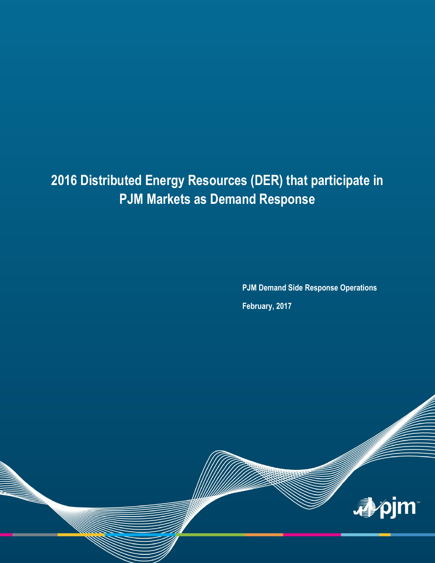# **2016 Distributed Energy Resources (DER) that participate in PJM Markets as Demand Response**

**PJM Demand Side Response Operations February, 2017**

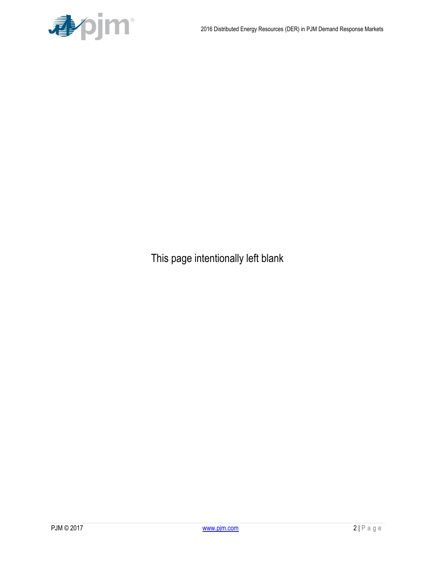

This page intentionally left blank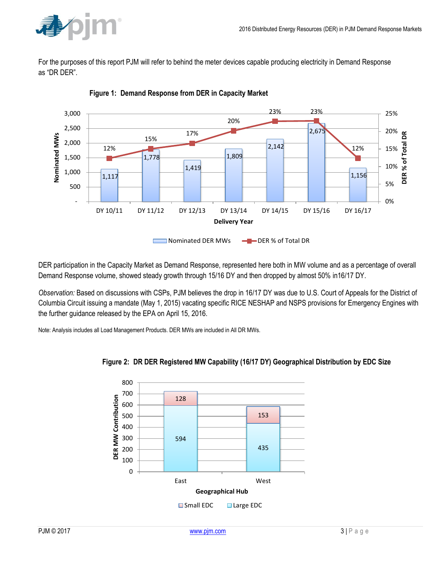

For the purposes of this report PJM will refer to behind the meter devices capable producing electricity in Demand Response as "DR DER".





DER participation in the Capacity Market as Demand Response, represented here both in MW volume and as a percentage of overall Demand Response volume, showed steady growth through 15/16 DY and then dropped by almost 50% in16/17 DY.

*Observation:* Based on discussions with CSPs, PJM believes the drop in 16/17 DY was due to U.S. Court of Appeals for the District of Columbia Circuit issuing a mandate (May 1, 2015) vacating specific RICE NESHAP and NSPS provisions for Emergency Engines with the further guidance released by the EPA on April 15, 2016.

Note: Analysis includes all Load Management Products. DER MWs are included in All DR MWs.



### **Figure 2: DR DER Registered MW Capability (16/17 DY) Geographical Distribution by EDC Size**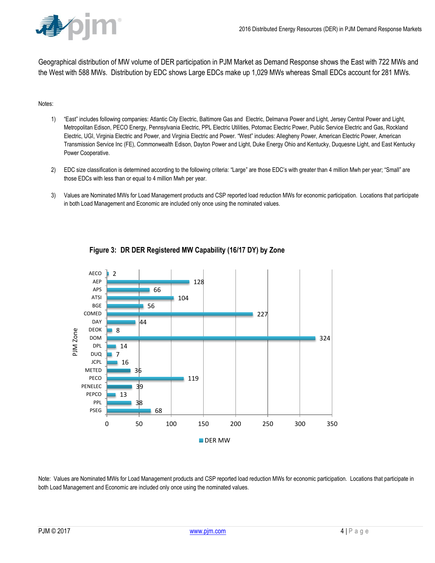

Geographical distribution of MW volume of DER participation in PJM Market as Demand Response shows the East with 722 MWs and the West with 588 MWs. Distribution by EDC shows Large EDCs make up 1,029 MWs whereas Small EDCs account for 281 MWs.

#### Notes:

- 1) "East" includes following companies: Atlantic City Electric, Baltimore Gas and Electric, Delmarva Power and Light, Jersey Central Power and Light, Metropolitan Edison, PECO Energy, Pennsylvania Electric, PPL Electric Utilities, Potomac Electric Power, Public Service Electric and Gas, Rockland Electric, UGI, Virginia Electric and Power, and Virginia Electric and Power. "West" includes: Allegheny Power, American Electric Power, American Transmission Service Inc (FE), Commonwealth Edison, Dayton Power and Light, Duke Energy Ohio and Kentucky, Duquesne Light, and East Kentucky Power Cooperative.
- 2) EDC size classification is determined according to the following criteria: "Large" are those EDC's with greater than 4 million Mwh per year; "Small" are those EDCs with less than or equal to 4 million Mwh per year.
- 3) Values are Nominated MWs for Load Management products and CSP reported load reduction MWs for economic participation. Locations that participate in both Load Management and Economic are included only once using the nominated values.



#### **Figure 3: DR DER Registered MW Capability (16/17 DY) by Zone**

Note: Values are Nominated MWs for Load Management products and CSP reported load reduction MWs for economic participation. Locations that participate in both Load Management and Economic are included only once using the nominated values.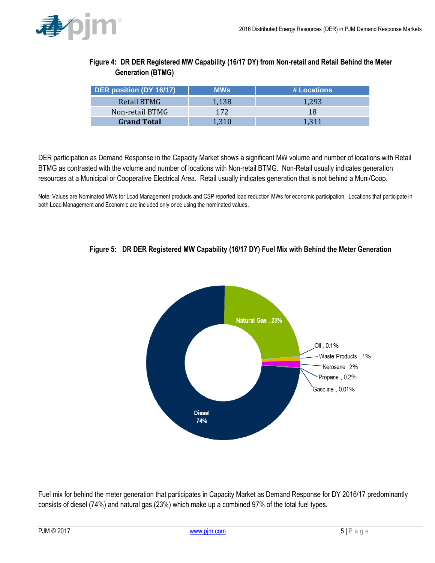

# **Figure 4: DR DER Registered MW Capability (16/17 DY) from Non-retail and Retail Behind the Meter Generation (BTMG)**

| DER position (DY 16/17) | <b>MWs</b> | # Locations |  |  |
|-------------------------|------------|-------------|--|--|
| Retail BTMG             | 1.138      | 1.293       |  |  |
| Non-retail BTMG         | 172        | 18          |  |  |
| <b>Grand Total</b>      | 1,310      | 1.311       |  |  |

DER participation as Demand Response in the Capacity Market shows a significant MW volume and number of locations with Retail BTMG as contrasted with the volume and number of locations with Non-retail BTMG. Non-Retail usually indicates generation resources at a Municipal or Cooperative Electrical Area. Retail usually indicates generation that is not behind a Muni/Coop.

Note: Values are Nominated MWs for Load Management products and CSP reported load reduction MWs for economic participation. Locations that participate in both Load Management and Economic are included only once using the nominated values.

# **Figure 5: DR DER Registered MW Capability (16/17 DY) Fuel Mix with Behind the Meter Generation**



Fuel mix for behind the meter generation that participates in Capacity Market as Demand Response for DY 2016/17 predominantly consists of diesel (74%) and natural gas (23%) which make up a combined 97% of the total fuel types.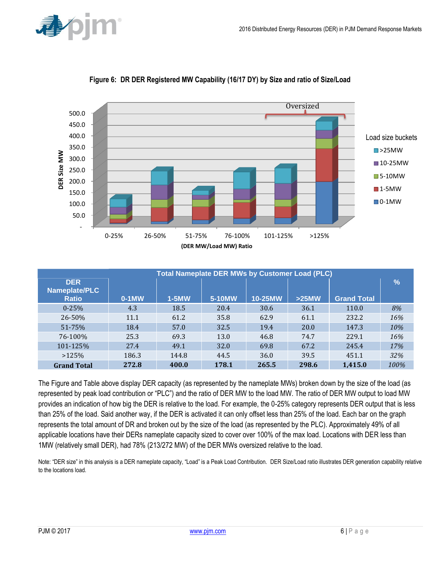



**Figure 6: DR DER Registered MW Capability (16/17 DY) by Size and ratio of Size/Load**

| <b>Total Nameplate DER MWs by Customer Load (PLC)</b> |         |         |        |         |       |                    |      |  |
|-------------------------------------------------------|---------|---------|--------|---------|-------|--------------------|------|--|
| <b>DER</b><br>Nameplate/PLC<br><b>Ratio</b>           | $0-1MW$ | $1-5MW$ | 5-10MW | 10-25MW | >25MW | <b>Grand Total</b> | %    |  |
| $0 - 25%$                                             | 4.3     | 18.5    | 20.4   | 30.6    | 36.1  | 110.0              | 8%   |  |
| 26-50%                                                | 11.1    | 61.2    | 35.8   | 62.9    | 61.1  | 232.2              | 16%  |  |
| 51-75%                                                | 18.4    | 57.0    | 32.5   | 19.4    | 20.0  | 147.3              | 10%  |  |
| 76-100%                                               | 25.3    | 69.3    | 13.0   | 46.8    | 74.7  | 229.1              | 16%  |  |
| 101-125%                                              | 27.4    | 49.1    | 32.0   | 69.8    | 67.2  | 245.4              | 17%  |  |
| >125%                                                 | 186.3   | 144.8   | 44.5   | 36.0    | 39.5  | 451.1              | 32%  |  |
| <b>Grand Total</b>                                    | 272.8   | 400.0   | 178.1  | 265.5   | 298.6 | 1,415.0            | 100% |  |

The Figure and Table above display DER capacity (as represented by the nameplate MWs) broken down by the size of the load (as represented by peak load contribution or "PLC") and the ratio of DER MW to the load MW. The ratio of DER MW output to load MW provides an indication of how big the DER is relative to the load. For example, the 0-25% category represents DER output that is less than 25% of the load. Said another way, if the DER is activated it can only offset less than 25% of the load. Each bar on the graph represents the total amount of DR and broken out by the size of the load (as represented by the PLC). Approximately 49% of all applicable locations have their DERs nameplate capacity sized to cover over 100% of the max load. Locations with DER less than 1MW (relatively small DER), had 78% (213/272 MW) of the DER MWs oversized relative to the load.

Note: "DER size" in this analysis is a DER nameplate capacity, "Load" is a Peak Load Contribution. DER Size/Load ratio illustrates DER generation capability relative to the locations load.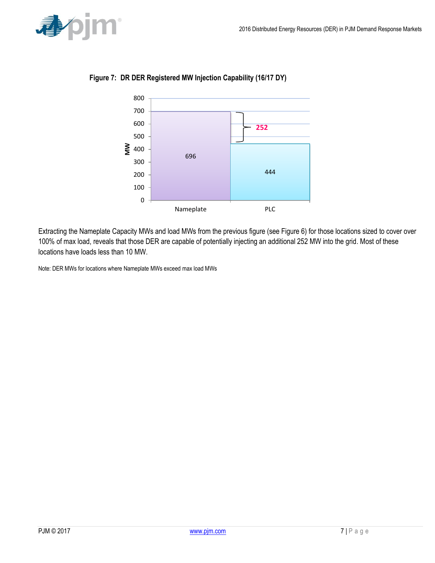



### **Figure 7: DR DER Registered MW Injection Capability (16/17 DY)**

Extracting the Nameplate Capacity MWs and load MWs from the previous figure (see Figure 6) for those locations sized to cover over 100% of max load, reveals that those DER are capable of potentially injecting an additional 252 MW into the grid. Most of these locations have loads less than 10 MW.

Note: DER MWs for locations where Nameplate MWs exceed max load MWs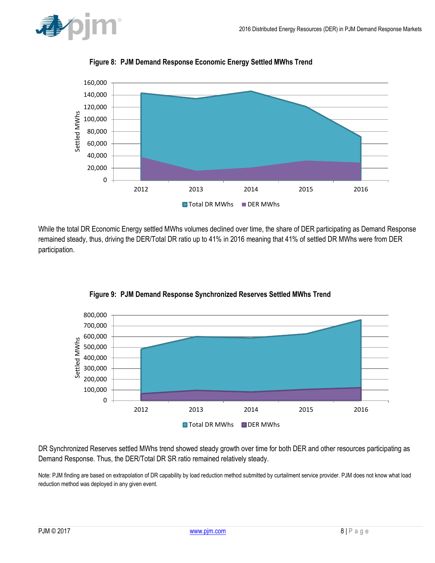



**Figure 8: PJM Demand Response Economic Energy Settled MWhs Trend**

While the total DR Economic Energy settled MWhs volumes declined over time, the share of DER participating as Demand Response remained steady, thus, driving the DER/Total DR ratio up to 41% in 2016 meaning that 41% of settled DR MWhs were from DER participation.



**Figure 9: PJM Demand Response Synchronized Reserves Settled MWhs Trend**

DR Synchronized Reserves settled MWhs trend showed steady growth over time for both DER and other resources participating as Demand Response. Thus, the DER/Total DR SR ratio remained relatively steady.

Note: PJM finding are based on extrapolation of DR capability by load reduction method submitted by curtailment service provider. PJM does not know what load reduction method was deployed in any given event.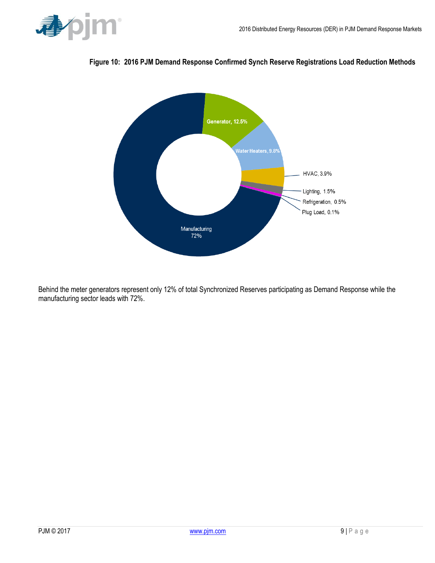



## **Figure 10: 2016 PJM Demand Response Confirmed Synch Reserve Registrations Load Reduction Methods**

Behind the meter generators represent only 12% of total Synchronized Reserves participating as Demand Response while the manufacturing sector leads with 72%.